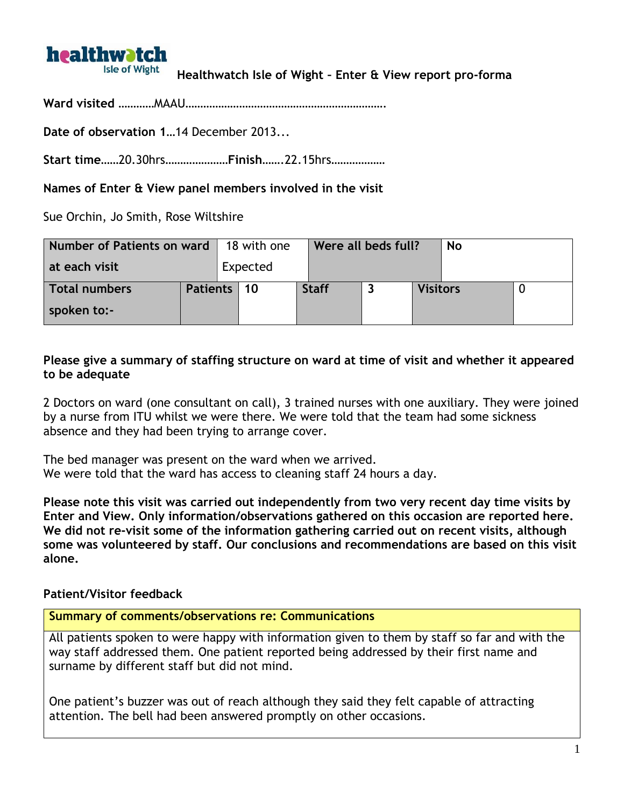# **healthwatch Isle of Wight**

# **Healthwatch Isle of Wight – Enter & View report pro-forma**

**Ward visited** …………MAAU………………………………………………………….

**Date of observation 1**…14 December 2013...

**Start time**……20.30hrs…………………**Finish**…….22.15hrs………………

**Names of Enter & View panel members involved in the visit**

Sue Orchin, Jo Smith, Rose Wiltshire

| Number of Patients on ward |               | 18 with one |              | Were all beds full? |                 |  |  |
|----------------------------|---------------|-------------|--------------|---------------------|-----------------|--|--|
| at each visit              |               | Expected    |              |                     |                 |  |  |
| Total numbers              | Patients   10 |             | <b>Staff</b> |                     | <b>Visitors</b> |  |  |
| spoken to:-                |               |             |              |                     |                 |  |  |

#### **Please give a summary of staffing structure on ward at time of visit and whether it appeared to be adequate**

2 Doctors on ward (one consultant on call), 3 trained nurses with one auxiliary. They were joined by a nurse from ITU whilst we were there. We were told that the team had some sickness absence and they had been trying to arrange cover.

The bed manager was present on the ward when we arrived. We were told that the ward has access to cleaning staff 24 hours a day.

**Please note this visit was carried out independently from two very recent day time visits by Enter and View. Only information/observations gathered on this occasion are reported here. We did not re-visit some of the information gathering carried out on recent visits, although some was volunteered by staff. Our conclusions and recommendations are based on this visit alone.** 

### **Patient/Visitor feedback**

#### **Summary of comments/observations re: Communications**

All patients spoken to were happy with information given to them by staff so far and with the way staff addressed them. One patient reported being addressed by their first name and surname by different staff but did not mind.

One patient's buzzer was out of reach although they said they felt capable of attracting attention. The bell had been answered promptly on other occasions.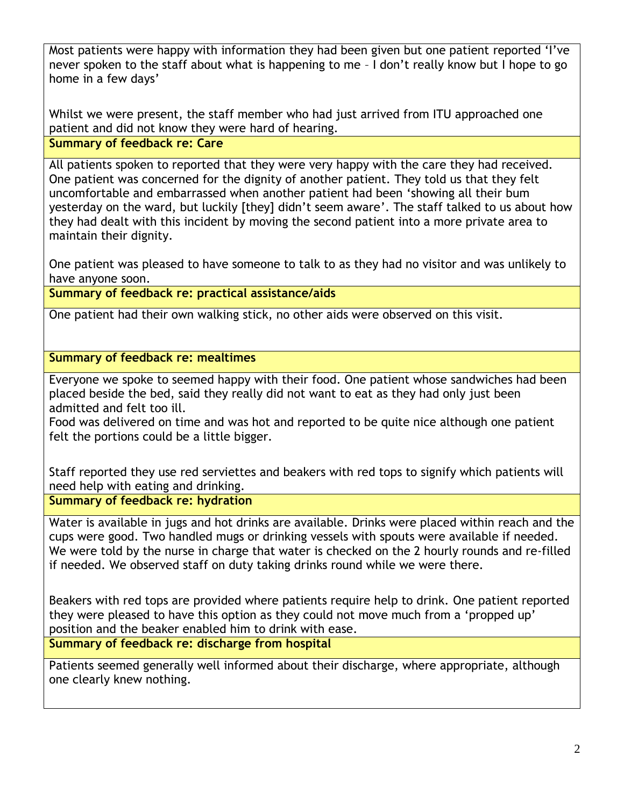Most patients were happy with information they had been given but one patient reported 'I've never spoken to the staff about what is happening to me – I don't really know but I hope to go home in a few days'

Whilst we were present, the staff member who had just arrived from ITU approached one patient and did not know they were hard of hearing.

**Summary of feedback re: Care**

All patients spoken to reported that they were very happy with the care they had received. One patient was concerned for the dignity of another patient. They told us that they felt uncomfortable and embarrassed when another patient had been 'showing all their bum yesterday on the ward, but luckily [they] didn't seem aware'. The staff talked to us about how they had dealt with this incident by moving the second patient into a more private area to maintain their dignity.

One patient was pleased to have someone to talk to as they had no visitor and was unlikely to have anyone soon.

**Summary of feedback re: practical assistance/aids**

One patient had their own walking stick, no other aids were observed on this visit.

**Summary of feedback re: mealtimes**

Everyone we spoke to seemed happy with their food. One patient whose sandwiches had been placed beside the bed, said they really did not want to eat as they had only just been admitted and felt too ill.

Food was delivered on time and was hot and reported to be quite nice although one patient felt the portions could be a little bigger.

Staff reported they use red serviettes and beakers with red tops to signify which patients will need help with eating and drinking.

**Summary of feedback re: hydration**

Water is available in jugs and hot drinks are available. Drinks were placed within reach and the cups were good. Two handled mugs or drinking vessels with spouts were available if needed. We were told by the nurse in charge that water is checked on the 2 hourly rounds and re-filled if needed. We observed staff on duty taking drinks round while we were there.

Beakers with red tops are provided where patients require help to drink. One patient reported they were pleased to have this option as they could not move much from a 'propped up' position and the beaker enabled him to drink with ease.

**Summary of feedback re: discharge from hospital**

Patients seemed generally well informed about their discharge, where appropriate, although one clearly knew nothing.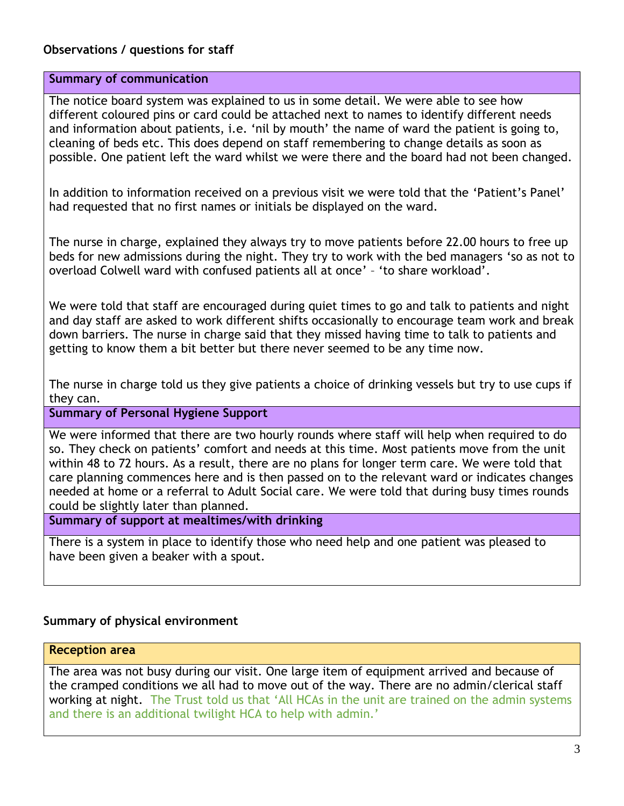## **Observations / questions for staff**

#### **Summary of communication**

The notice board system was explained to us in some detail. We were able to see how different coloured pins or card could be attached next to names to identify different needs and information about patients, i.e. 'nil by mouth' the name of ward the patient is going to, cleaning of beds etc. This does depend on staff remembering to change details as soon as possible. One patient left the ward whilst we were there and the board had not been changed.

In addition to information received on a previous visit we were told that the 'Patient's Panel' had requested that no first names or initials be displayed on the ward.

The nurse in charge, explained they always try to move patients before 22.00 hours to free up beds for new admissions during the night. They try to work with the bed managers 'so as not to overload Colwell ward with confused patients all at once' – 'to share workload'.

We were told that staff are encouraged during quiet times to go and talk to patients and night and day staff are asked to work different shifts occasionally to encourage team work and break down barriers. The nurse in charge said that they missed having time to talk to patients and getting to know them a bit better but there never seemed to be any time now.

The nurse in charge told us they give patients a choice of drinking vessels but try to use cups if they can.

**Summary of Personal Hygiene Support** 

We were informed that there are two hourly rounds where staff will help when required to do so. They check on patients' comfort and needs at this time. Most patients move from the unit within 48 to 72 hours. As a result, there are no plans for longer term care. We were told that care planning commences here and is then passed on to the relevant ward or indicates changes needed at home or a referral to Adult Social care. We were told that during busy times rounds could be slightly later than planned.

**Summary of support at mealtimes/with drinking**

There is a system in place to identify those who need help and one patient was pleased to have been given a beaker with a spout.

### **Summary of physical environment**

#### **Reception area**

The area was not busy during our visit. One large item of equipment arrived and because of the cramped conditions we all had to move out of the way. There are no admin/clerical staff working at night. The Trust told us that 'All HCAs in the unit are trained on the admin systems and there is an additional twilight HCA to help with admin.'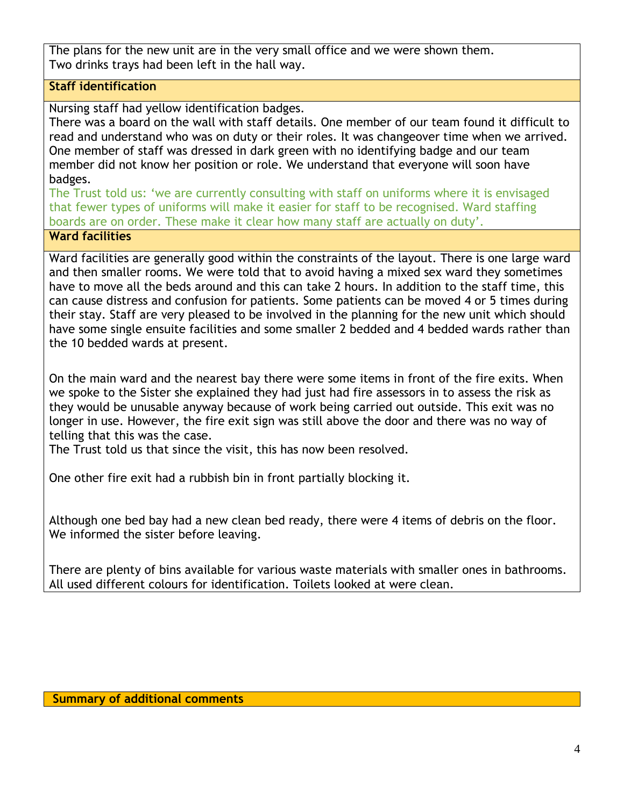The plans for the new unit are in the very small office and we were shown them. Two drinks trays had been left in the hall way.

# **Staff identification**

Nursing staff had yellow identification badges.

There was a board on the wall with staff details. One member of our team found it difficult to read and understand who was on duty or their roles. It was changeover time when we arrived. One member of staff was dressed in dark green with no identifying badge and our team member did not know her position or role. We understand that everyone will soon have badges.

The Trust told us: 'we are currently consulting with staff on uniforms where it is envisaged that fewer types of uniforms will make it easier for staff to be recognised. Ward staffing boards are on order. These make it clear how many staff are actually on duty'.

# **Ward facilities**

Ward facilities are generally good within the constraints of the layout. There is one large ward and then smaller rooms. We were told that to avoid having a mixed sex ward they sometimes have to move all the beds around and this can take 2 hours. In addition to the staff time, this can cause distress and confusion for patients. Some patients can be moved 4 or 5 times during their stay. Staff are very pleased to be involved in the planning for the new unit which should have some single ensuite facilities and some smaller 2 bedded and 4 bedded wards rather than the 10 bedded wards at present.

On the main ward and the nearest bay there were some items in front of the fire exits. When we spoke to the Sister she explained they had just had fire assessors in to assess the risk as they would be unusable anyway because of work being carried out outside. This exit was no longer in use. However, the fire exit sign was still above the door and there was no way of telling that this was the case.

The Trust told us that since the visit, this has now been resolved.

One other fire exit had a rubbish bin in front partially blocking it.

Although one bed bay had a new clean bed ready, there were 4 items of debris on the floor. We informed the sister before leaving.

There are plenty of bins available for various waste materials with smaller ones in bathrooms. All used different colours for identification. Toilets looked at were clean.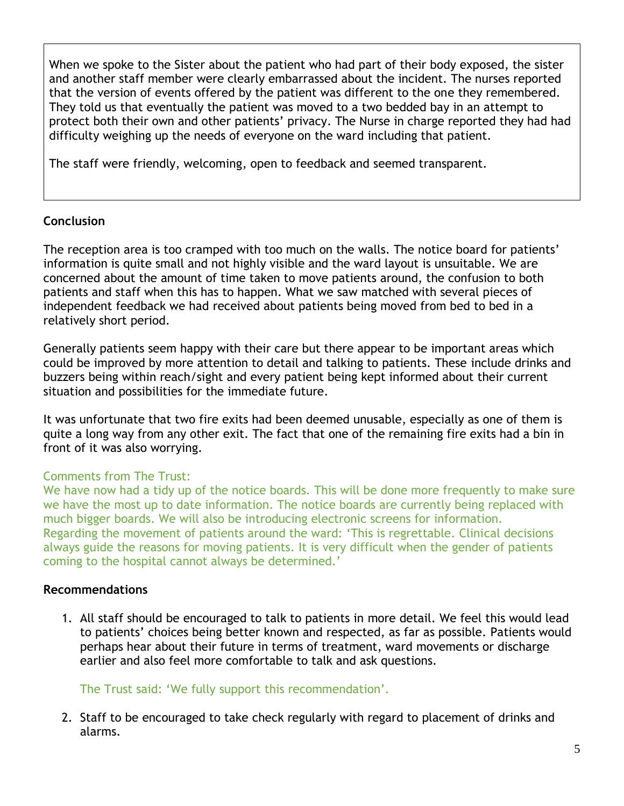When we spoke to the Sister about the patient who had part of their body exposed, the sister and another staff member were clearly embarrassed about the incident. The nurses reported that the version of events offered by the patient was different to the one they remembered. They told us that eventually the patient was moved to a two bedded bay in an attempt to protect both their own and other patients' privacy. The Nurse in charge reported they had had difficulty weighing up the needs of everyone on the ward including that patient.

The staff were friendly, welcoming, open to feedback and seemed transparent.

### **Conclusion**

The reception area is too cramped with too much on the walls. The notice board for patients' information is quite small and not highly visible and the ward layout is unsuitable. We are concerned about the amount of time taken to move patients around, the confusion to both patients and staff when this has to happen. What we saw matched with several pieces of independent feedback we had received about patients being moved from bed to bed in a relatively short period.

Generally patients seem happy with their care but there appear to be important areas which could be improved by more attention to detail and talking to patients. These include drinks and buzzers being within reach/sight and every patient being kept informed about their current situation and possibilities for the immediate future.

It was unfortunate that two fire exits had been deemed unusable, especially as one of them is quite a long way from any other exit. The fact that one of the remaining fire exits had a bin in front of it was also worrying.

### Comments from The Trust:

We have now had a tidy up of the notice boards. This will be done more frequently to make sure we have the most up to date information. The notice boards are currently being replaced with much bigger boards. We will also be introducing electronic screens for information. Regarding the movement of patients around the ward: 'This is regrettable. Clinical decisions always guide the reasons for moving patients. It is very difficult when the gender of patients coming to the hospital cannot always be determined.'

#### **Recommendations**

1. All staff should be encouraged to talk to patients in more detail. We feel this would lead to patients' choices being better known and respected, as far as possible. Patients would perhaps hear about their future in terms of treatment, ward movements or discharge earlier and also feel more comfortable to talk and ask questions.

The Trust said: 'We fully support this recommendation'.

2. Staff to be encouraged to take check regularly with regard to placement of drinks and alarms.